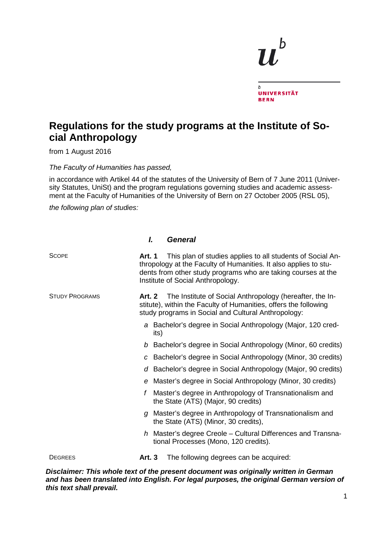## b  $\overline{b}$ **UNIVERSITÄT BERN**

## **Regulations for the study programs at the Institute of Social Anthropology**

from 1 August 2016

*The Faculty of Humanities has passed,* 

in accordance with Artikel 44 of the statutes of the University of Bern of 7 June 2011 (University Statutes, UniSt) and the program regulations governing studies and academic assessment at the Faculty of Humanities of the University of Bern on 27 October 2005 (RSL 05),

*the following plan of studies:* 

## *I. General*

| <b>SCOPE</b>                      | This plan of studies applies to all students of Social An-<br>Art. 1<br>thropology at the Faculty of Humanities. It also applies to stu-<br>dents from other study programs who are taking courses at the<br>Institute of Social Anthropology. |
|-----------------------------------|------------------------------------------------------------------------------------------------------------------------------------------------------------------------------------------------------------------------------------------------|
| <b>STUDY PROGRAMS</b>             | The Institute of Social Anthropology (hereafter, the In-<br>Art. 2<br>stitute), within the Faculty of Humanities, offers the following<br>study programs in Social and Cultural Anthropology:                                                  |
|                                   | a Bachelor's degree in Social Anthropology (Major, 120 cred-<br>its)                                                                                                                                                                           |
|                                   | b Bachelor's degree in Social Anthropology (Minor, 60 credits)                                                                                                                                                                                 |
|                                   | c Bachelor's degree in Social Anthropology (Minor, 30 credits)                                                                                                                                                                                 |
|                                   | Bachelor's degree in Social Anthropology (Major, 90 credits)<br>d                                                                                                                                                                              |
|                                   | e Master's degree in Social Anthropology (Minor, 30 credits)                                                                                                                                                                                   |
|                                   | Master's degree in Anthropology of Transnationalism and<br>f<br>the State (ATS) (Major, 90 credits)                                                                                                                                            |
|                                   | g Master's degree in Anthropology of Transnationalism and<br>the State (ATS) (Minor, 30 credits),                                                                                                                                              |
|                                   | $h$ Master's degree Creole – Cultural Differences and Transna-<br>tional Processes (Mono, 120 credits).                                                                                                                                        |
| <b>DEGREES</b><br>7:-- <i>---</i> | <b>Art. 3</b><br>The following degrees can be acquired:<br>$\alpha$ . This whale text of the museum decreased was enjoinedly whites in $\bigwedge$                                                                                             |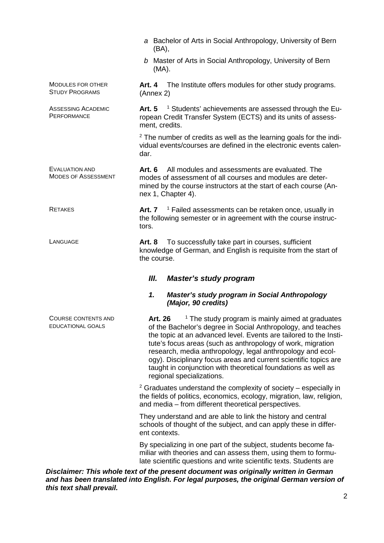|                                                     | a Bachelor of Arts in Social Anthropology, University of Bern<br>(BA),                                                                                                                                                                                                                                                                                                                                                                                                                                     |
|-----------------------------------------------------|------------------------------------------------------------------------------------------------------------------------------------------------------------------------------------------------------------------------------------------------------------------------------------------------------------------------------------------------------------------------------------------------------------------------------------------------------------------------------------------------------------|
|                                                     | b Master of Arts in Social Anthropology, University of Bern<br>$(MA)$ .                                                                                                                                                                                                                                                                                                                                                                                                                                    |
| MODULES FOR OTHER<br><b>STUDY PROGRAMS</b>          | <b>Art. 4</b><br>The Institute offers modules for other study programs.<br>(Annex 2)                                                                                                                                                                                                                                                                                                                                                                                                                       |
| <b>ASSESSING ACADEMIC</b><br>PERFORMANCE            | <sup>1</sup> Students' achievements are assessed through the Eu-<br><b>Art. 5</b><br>ropean Credit Transfer System (ECTS) and its units of assess-<br>ment, credits.                                                                                                                                                                                                                                                                                                                                       |
|                                                     | <sup>2</sup> The number of credits as well as the learning goals for the indi-<br>vidual events/courses are defined in the electronic events calen-<br>dar.                                                                                                                                                                                                                                                                                                                                                |
| <b>EVALUATION AND</b><br><b>MODES OF ASSESSMENT</b> | All modules and assessments are evaluated. The<br>Art. 6<br>modes of assessment of all courses and modules are deter-<br>mined by the course instructors at the start of each course (An-<br>nex 1, Chapter 4).                                                                                                                                                                                                                                                                                            |
| <b>RETAKES</b>                                      | Art. $7-1$ Failed assessments can be retaken once, usually in<br>the following semester or in agreement with the course instruc-<br>tors.                                                                                                                                                                                                                                                                                                                                                                  |
| LANGUAGE                                            | To successfully take part in courses, sufficient<br>Art. 8<br>knowledge of German, and English is requisite from the start of<br>the course.                                                                                                                                                                                                                                                                                                                                                               |
|                                                     | Ш.<br><b>Master's study program</b>                                                                                                                                                                                                                                                                                                                                                                                                                                                                        |
|                                                     | Master's study program in Social Anthropology<br>1.<br>(Major, 90 credits)                                                                                                                                                                                                                                                                                                                                                                                                                                 |
| COURSE CONTENTS AND<br>EDUCATIONAL GOALS            | <sup>1</sup> The study program is mainly aimed at graduates<br>Art. 26<br>of the Bachelor's degree in Social Anthropology, and teaches<br>the topic at an advanced level. Events are tailored to the Insti-<br>tute's focus areas (such as anthropology of work, migration<br>research, media anthropology, legal anthropology and ecol-<br>ogy). Disciplinary focus areas and current scientific topics are<br>taught in conjunction with theoretical foundations as well as<br>regional specializations. |
|                                                     | $2$ Graduates understand the complexity of society – especially in<br>the fields of politics, economics, ecology, migration, law, religion,<br>and media - from different theoretical perspectives.                                                                                                                                                                                                                                                                                                        |
|                                                     | They understand and are able to link the history and central<br>schools of thought of the subject, and can apply these in differ-<br>ent contexts.                                                                                                                                                                                                                                                                                                                                                         |
|                                                     | By specializing in one part of the subject, students become fa-<br>miliar with theories and can assess them, using them to formu-<br>late scientific questions and write scientific texts. Students are                                                                                                                                                                                                                                                                                                    |
|                                                     | Disclaimer: This whole text of the present document was originally written in German                                                                                                                                                                                                                                                                                                                                                                                                                       |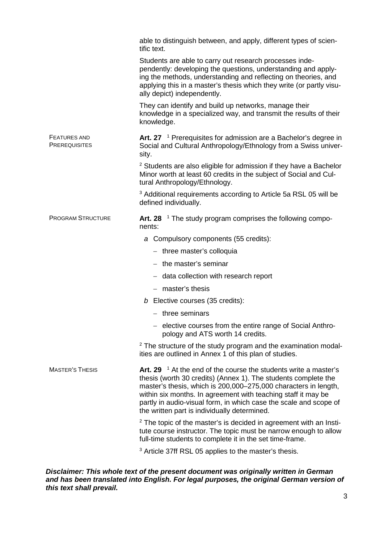|                                             | able to distinguish between, and apply, different types of scien-<br>tific text.                                                                                                                                                                                                                                                                                                                  |
|---------------------------------------------|---------------------------------------------------------------------------------------------------------------------------------------------------------------------------------------------------------------------------------------------------------------------------------------------------------------------------------------------------------------------------------------------------|
|                                             | Students are able to carry out research processes inde-<br>pendently: developing the questions, understanding and apply-<br>ing the methods, understanding and reflecting on theories, and<br>applying this in a master's thesis which they write (or partly visu-<br>ally depict) independently.                                                                                                 |
|                                             | They can identify and build up networks, manage their<br>knowledge in a specialized way, and transmit the results of their<br>knowledge.                                                                                                                                                                                                                                                          |
| <b>FEATURES AND</b><br><b>PREREQUISITES</b> | Art. 27 $\,$ 1 Prerequisites for admission are a Bachelor's degree in<br>Social and Cultural Anthropology/Ethnology from a Swiss univer-<br>sity.                                                                                                                                                                                                                                                 |
|                                             | <sup>2</sup> Students are also eligible for admission if they have a Bachelor<br>Minor worth at least 60 credits in the subject of Social and Cul-<br>tural Anthropology/Ethnology.                                                                                                                                                                                                               |
|                                             | <sup>3</sup> Additional requirements according to Article 5a RSL 05 will be<br>defined individually.                                                                                                                                                                                                                                                                                              |
| <b>PROGRAM STRUCTURE</b>                    | Art. 28 $^{-1}$ The study program comprises the following compo-<br>nents:                                                                                                                                                                                                                                                                                                                        |
|                                             | a Compulsory components (55 credits):                                                                                                                                                                                                                                                                                                                                                             |
|                                             | $-$ three master's colloquia                                                                                                                                                                                                                                                                                                                                                                      |
|                                             | $-$ the master's seminar                                                                                                                                                                                                                                                                                                                                                                          |
|                                             | - data collection with research report                                                                                                                                                                                                                                                                                                                                                            |
|                                             | - master's thesis                                                                                                                                                                                                                                                                                                                                                                                 |
|                                             | $b$ Elective courses (35 credits):                                                                                                                                                                                                                                                                                                                                                                |
|                                             | - three seminars                                                                                                                                                                                                                                                                                                                                                                                  |
|                                             | - elective courses from the entire range of Social Anthro-<br>pology and ATS worth 14 credits.                                                                                                                                                                                                                                                                                                    |
|                                             | <sup>2</sup> The structure of the study program and the examination modal-<br>ities are outlined in Annex 1 of this plan of studies.                                                                                                                                                                                                                                                              |
| <b>MASTER'S THESIS</b>                      | Art. 29 $^{-1}$ At the end of the course the students write a master's<br>thesis (worth 30 credits) (Annex 1). The students complete the<br>master's thesis, which is 200,000-275,000 characters in length,<br>within six months. In agreement with teaching staff it may be<br>partly in audio-visual form, in which case the scale and scope of<br>the written part is individually determined. |
|                                             | $2$ The topic of the master's is decided in agreement with an Insti-<br>tute course instructor. The topic must be narrow enough to allow<br>full-time students to complete it in the set time-frame.                                                                                                                                                                                              |
|                                             | <sup>3</sup> Article 37ff RSL 05 applies to the master's thesis.                                                                                                                                                                                                                                                                                                                                  |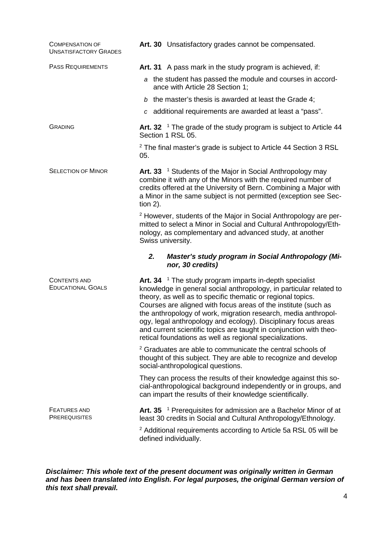| <b>COMPENSATION OF</b><br><b>UNSATISFACTORY GRADES</b> | Art. 30 Unsatisfactory grades cannot be compensated.                                                                                                                                                                                                                                                                                                                                                                                                                                                                                       |
|--------------------------------------------------------|--------------------------------------------------------------------------------------------------------------------------------------------------------------------------------------------------------------------------------------------------------------------------------------------------------------------------------------------------------------------------------------------------------------------------------------------------------------------------------------------------------------------------------------------|
| <b>PASS REQUIREMENTS</b>                               | Art. 31 A pass mark in the study program is achieved, if:                                                                                                                                                                                                                                                                                                                                                                                                                                                                                  |
|                                                        | a the student has passed the module and courses in accord-<br>ance with Article 28 Section 1;                                                                                                                                                                                                                                                                                                                                                                                                                                              |
|                                                        | b the master's thesis is awarded at least the Grade 4;                                                                                                                                                                                                                                                                                                                                                                                                                                                                                     |
|                                                        | c additional requirements are awarded at least a "pass".                                                                                                                                                                                                                                                                                                                                                                                                                                                                                   |
| <b>GRADING</b>                                         | Art. 32 $\,$ 1 The grade of the study program is subject to Article 44<br>Section 1 RSL 05.                                                                                                                                                                                                                                                                                                                                                                                                                                                |
|                                                        | <sup>2</sup> The final master's grade is subject to Article 44 Section 3 RSL<br>05.                                                                                                                                                                                                                                                                                                                                                                                                                                                        |
| <b>SELECTION OF MINOR</b>                              | Art. 33 <sup>1</sup> Students of the Major in Social Anthropology may<br>combine it with any of the Minors with the required number of<br>credits offered at the University of Bern. Combining a Major with<br>a Minor in the same subject is not permitted (exception see Sec-<br>tion $2$ ).                                                                                                                                                                                                                                             |
|                                                        | <sup>2</sup> However, students of the Major in Social Anthropology are per-<br>mitted to select a Minor in Social and Cultural Anthropology/Eth-<br>nology, as complementary and advanced study, at another<br>Swiss university.                                                                                                                                                                                                                                                                                                           |
|                                                        | Master's study program in Social Anthropology (Mi-<br>2.<br>nor, 30 credits)                                                                                                                                                                                                                                                                                                                                                                                                                                                               |
| <b>CONTENTS AND</b><br><b>EDUCATIONAL GOALS</b>        | Art. 34 $^{-1}$ The study program imparts in-depth specialist<br>knowledge in general social anthropology, in particular related to<br>theory, as well as to specific thematic or regional topics.<br>Courses are aligned with focus areas of the institute (such as<br>the anthropology of work, migration research, media anthropol-<br>ogy, legal anthropology and ecology). Disciplinary focus areas<br>and current scientific topics are taught in conjunction with theo-<br>retical foundations as well as regional specializations. |
|                                                        | <sup>2</sup> Graduates are able to communicate the central schools of<br>thought of this subject. They are able to recognize and develop<br>social-anthropological questions.                                                                                                                                                                                                                                                                                                                                                              |
|                                                        | They can process the results of their knowledge against this so-<br>cial-anthropological background independently or in groups, and<br>can impart the results of their knowledge scientifically.                                                                                                                                                                                                                                                                                                                                           |
| <b>FEATURES AND</b><br><b>PREREQUISITES</b>            | Art. 35 <sup>1</sup> Prerequisites for admission are a Bachelor Minor of at<br>least 30 credits in Social and Cultural Anthropology/Ethnology.                                                                                                                                                                                                                                                                                                                                                                                             |
|                                                        | <sup>2</sup> Additional requirements according to Article 5a RSL 05 will be<br>defined individually.                                                                                                                                                                                                                                                                                                                                                                                                                                       |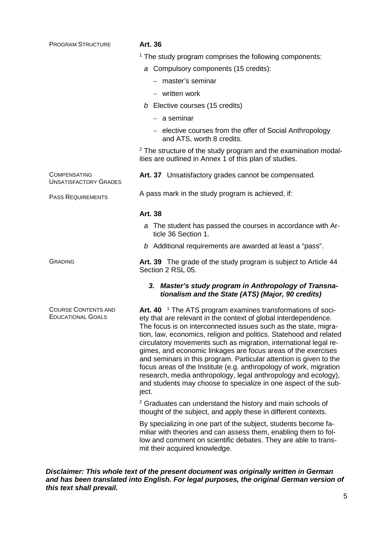| <b>PROGRAM STRUCTURE</b>                               | Art. 36                                                                                                                                                                                                                                                                                                                                                                                                                                                                                                                                                                                                                                                                                                           |
|--------------------------------------------------------|-------------------------------------------------------------------------------------------------------------------------------------------------------------------------------------------------------------------------------------------------------------------------------------------------------------------------------------------------------------------------------------------------------------------------------------------------------------------------------------------------------------------------------------------------------------------------------------------------------------------------------------------------------------------------------------------------------------------|
|                                                        | <sup>1</sup> The study program comprises the following components:                                                                                                                                                                                                                                                                                                                                                                                                                                                                                                                                                                                                                                                |
|                                                        | a Compulsory components (15 credits):                                                                                                                                                                                                                                                                                                                                                                                                                                                                                                                                                                                                                                                                             |
|                                                        | - master's seminar                                                                                                                                                                                                                                                                                                                                                                                                                                                                                                                                                                                                                                                                                                |
|                                                        | - written work                                                                                                                                                                                                                                                                                                                                                                                                                                                                                                                                                                                                                                                                                                    |
|                                                        | $b$ Elective courses (15 credits)                                                                                                                                                                                                                                                                                                                                                                                                                                                                                                                                                                                                                                                                                 |
|                                                        | $-$ a seminar                                                                                                                                                                                                                                                                                                                                                                                                                                                                                                                                                                                                                                                                                                     |
|                                                        | - elective courses from the offer of Social Anthropology<br>and ATS, worth 8 credits.                                                                                                                                                                                                                                                                                                                                                                                                                                                                                                                                                                                                                             |
|                                                        | <sup>2</sup> The structure of the study program and the examination modal-<br>ities are outlined in Annex 1 of this plan of studies.                                                                                                                                                                                                                                                                                                                                                                                                                                                                                                                                                                              |
| <b>COMPENSATING</b><br><b>UNSATISFACTORY GRADES</b>    | Art. 37 Unsatisfactory grades cannot be compensated.                                                                                                                                                                                                                                                                                                                                                                                                                                                                                                                                                                                                                                                              |
| <b>PASS REQUIREMENTS</b>                               | A pass mark in the study program is achieved, if:                                                                                                                                                                                                                                                                                                                                                                                                                                                                                                                                                                                                                                                                 |
|                                                        | Art. 38                                                                                                                                                                                                                                                                                                                                                                                                                                                                                                                                                                                                                                                                                                           |
|                                                        | a The student has passed the courses in accordance with Ar-<br>ticle 36 Section 1.                                                                                                                                                                                                                                                                                                                                                                                                                                                                                                                                                                                                                                |
|                                                        | b Additional requirements are awarded at least a "pass".                                                                                                                                                                                                                                                                                                                                                                                                                                                                                                                                                                                                                                                          |
| <b>GRADING</b>                                         | Art. 39 The grade of the study program is subject to Article 44<br>Section 2 RSL 05.                                                                                                                                                                                                                                                                                                                                                                                                                                                                                                                                                                                                                              |
|                                                        | 3. Master's study program in Anthropology of Transna-<br>tionalism and the State (ATS) (Major, 90 credits)                                                                                                                                                                                                                                                                                                                                                                                                                                                                                                                                                                                                        |
| <b>COURSE CONTENTS AND</b><br><b>EDUCATIONAL GOALS</b> | Art. 40 <sup>1</sup> The ATS program examines transformations of soci-<br>ety that are relevant in the context of global interdependence.<br>The focus is on interconnected issues such as the state. migra-<br>tion, law, economics, religion and politics. Statehood and related<br>circulatory movements such as migration, international legal re-<br>gimes, and economic linkages are focus areas of the exercises<br>and seminars in this program. Particular attention is given to the<br>focus areas of the Institute (e.g. anthropology of work, migration<br>research, media anthropology, legal anthropology and ecology),<br>and students may choose to specialize in one aspect of the sub-<br>ject. |
|                                                        | <sup>2</sup> Graduates can understand the history and main schools of<br>thought of the subject, and apply these in different contexts.                                                                                                                                                                                                                                                                                                                                                                                                                                                                                                                                                                           |
|                                                        | By specializing in one part of the subject, students become fa-<br>miliar with theories and can assess them, enabling them to fol-<br>low and comment on scientific debates. They are able to trans-<br>mit their acquired knowledge.                                                                                                                                                                                                                                                                                                                                                                                                                                                                             |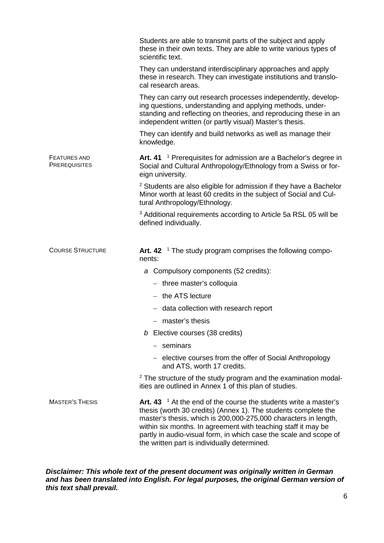|                                             | Students are able to transmit parts of the subject and apply<br>these in their own texts. They are able to write various types of<br>scientific text.                                                                                                     |
|---------------------------------------------|-----------------------------------------------------------------------------------------------------------------------------------------------------------------------------------------------------------------------------------------------------------|
|                                             | They can understand interdisciplinary approaches and apply<br>these in research. They can investigate institutions and translo-<br>cal research areas.                                                                                                    |
|                                             | They can carry out research processes independently, develop-<br>ing questions, understanding and applying methods, under-<br>standing and reflecting on theories, and reproducing these in an<br>independent written (or partly visual) Master's thesis. |
|                                             | They can identify and build networks as well as manage their<br>knowledge.                                                                                                                                                                                |
| <b>FEATURES AND</b><br><b>PREREQUISITES</b> | Art. 41 <sup>1</sup> Prerequisites for admission are a Bachelor's degree in<br>Social and Cultural Anthropology/Ethnology from a Swiss or for-<br>eign university.                                                                                        |
|                                             | <sup>2</sup> Students are also eligible for admission if they have a Bachelor<br>Minor worth at least 60 credits in the subject of Social and Cul-<br>tural Anthropology/Ethnology.                                                                       |
|                                             | <sup>3</sup> Additional requirements according to Article 5a RSL 05 will be<br>defined individually.                                                                                                                                                      |
| <b>COURSE STRUCTURE</b>                     | Art. 42 $\,$ 1 The study program comprises the following compo-<br>nents:                                                                                                                                                                                 |
|                                             | a Compulsory components (52 credits):                                                                                                                                                                                                                     |
|                                             | $-$ three master's colloquia                                                                                                                                                                                                                              |
|                                             |                                                                                                                                                                                                                                                           |
|                                             | $-$ the ATS lecture                                                                                                                                                                                                                                       |
|                                             | - data collection with research report                                                                                                                                                                                                                    |
|                                             | master's thesis                                                                                                                                                                                                                                           |
|                                             | $b$ Elective courses (38 credits)                                                                                                                                                                                                                         |
|                                             | $-$ seminars                                                                                                                                                                                                                                              |
|                                             | - elective courses from the offer of Social Anthropology<br>and ATS, worth 17 credits.                                                                                                                                                                    |
|                                             | <sup>2</sup> The structure of the study program and the examination modal-<br>ities are outlined in Annex 1 of this plan of studies.                                                                                                                      |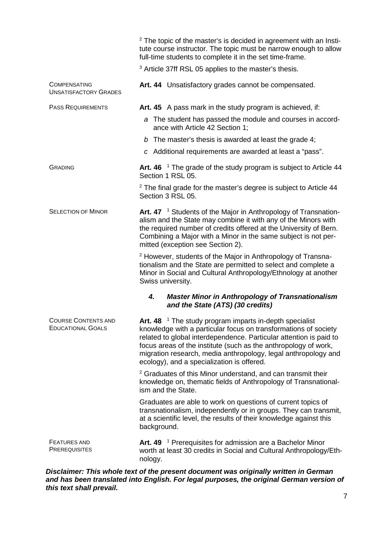|                                                        | <sup>2</sup> The topic of the master's is decided in agreement with an Insti-<br>tute course instructor. The topic must be narrow enough to allow<br>full-time students to complete it in the set time-frame.                                                                                                                                                                                     |
|--------------------------------------------------------|---------------------------------------------------------------------------------------------------------------------------------------------------------------------------------------------------------------------------------------------------------------------------------------------------------------------------------------------------------------------------------------------------|
|                                                        | <sup>3</sup> Article 37ff RSL 05 applies to the master's thesis.                                                                                                                                                                                                                                                                                                                                  |
| <b>COMPENSATING</b><br><b>UNSATISFACTORY GRADES</b>    | Art. 44 Unsatisfactory grades cannot be compensated.                                                                                                                                                                                                                                                                                                                                              |
| <b>PASS REQUIREMENTS</b>                               | Art. 45 A pass mark in the study program is achieved, if:                                                                                                                                                                                                                                                                                                                                         |
|                                                        | a The student has passed the module and courses in accord-<br>ance with Article 42 Section 1;                                                                                                                                                                                                                                                                                                     |
|                                                        | b The master's thesis is awarded at least the grade 4;                                                                                                                                                                                                                                                                                                                                            |
|                                                        | c Additional requirements are awarded at least a "pass".                                                                                                                                                                                                                                                                                                                                          |
| <b>GRADING</b>                                         | Art. 46 $\,$ 1 The grade of the study program is subject to Article 44<br>Section 1 RSL 05.                                                                                                                                                                                                                                                                                                       |
|                                                        | <sup>2</sup> The final grade for the master's degree is subject to Article 44<br>Section 3 RSL 05.                                                                                                                                                                                                                                                                                                |
| <b>SELECTION OF MINOR</b>                              | Art. 47 <sup>1</sup> Students of the Major in Anthropology of Transnation-<br>alism and the State may combine it with any of the Minors with<br>the required number of credits offered at the University of Bern.<br>Combining a Major with a Minor in the same subject is not per-<br>mitted (exception see Section 2).                                                                          |
|                                                        | <sup>2</sup> However, students of the Major in Anthropology of Transna-<br>tionalism and the State are permitted to select and complete a<br>Minor in Social and Cultural Anthropology/Ethnology at another<br>Swiss university.                                                                                                                                                                  |
|                                                        | 4.<br><b>Master Minor in Anthropology of Transnationalism</b><br>and the State (ATS) (30 credits)                                                                                                                                                                                                                                                                                                 |
| <b>COURSE CONTENTS AND</b><br><b>EDUCATIONAL GOALS</b> | <sup>1</sup> The study program imparts in-depth specialist<br>Art. 48<br>knowledge with a particular focus on transformations of society<br>related to global interdependence. Particular attention is paid to<br>focus areas of the institute (such as the anthropology of work,<br>migration research, media anthropology, legal anthropology and<br>ecology), and a specialization is offered. |
|                                                        | <sup>2</sup> Graduates of this Minor understand, and can transmit their<br>knowledge on, thematic fields of Anthropology of Transnational-<br>ism and the State.                                                                                                                                                                                                                                  |
|                                                        | Graduates are able to work on questions of current topics of<br>transnationalism, independently or in groups. They can transmit,<br>at a scientific level, the results of their knowledge against this<br>background.                                                                                                                                                                             |
| <b>FEATURES AND</b><br><b>PREREQUISITES</b>            | Art. 49 <sup>1</sup> Prerequisites for admission are a Bachelor Minor<br>worth at least 30 credits in Social and Cultural Anthropology/Eth-<br>nology.                                                                                                                                                                                                                                            |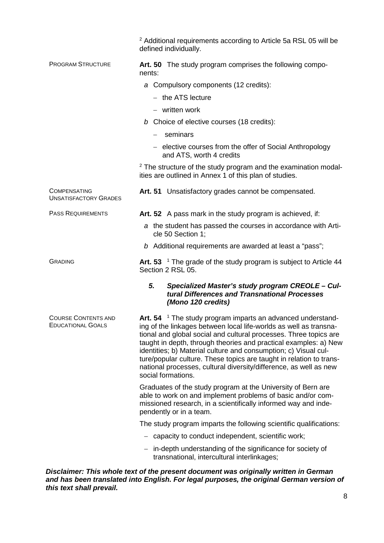|                                                        | <sup>2</sup> Additional requirements according to Article 5a RSL 05 will be<br>defined individually.                                                                                                                                                                                                                                                                                                                                                                                                                        |
|--------------------------------------------------------|-----------------------------------------------------------------------------------------------------------------------------------------------------------------------------------------------------------------------------------------------------------------------------------------------------------------------------------------------------------------------------------------------------------------------------------------------------------------------------------------------------------------------------|
| <b>PROGRAM STRUCTURE</b>                               | Art. 50 The study program comprises the following compo-<br>nents:                                                                                                                                                                                                                                                                                                                                                                                                                                                          |
|                                                        | a Compulsory components (12 credits):                                                                                                                                                                                                                                                                                                                                                                                                                                                                                       |
|                                                        | - the ATS lecture                                                                                                                                                                                                                                                                                                                                                                                                                                                                                                           |
|                                                        | - written work                                                                                                                                                                                                                                                                                                                                                                                                                                                                                                              |
|                                                        | b Choice of elective courses (18 credits):                                                                                                                                                                                                                                                                                                                                                                                                                                                                                  |
|                                                        | seminars                                                                                                                                                                                                                                                                                                                                                                                                                                                                                                                    |
|                                                        | - elective courses from the offer of Social Anthropology<br>and ATS, worth 4 credits                                                                                                                                                                                                                                                                                                                                                                                                                                        |
|                                                        | <sup>2</sup> The structure of the study program and the examination modal-<br>ities are outlined in Annex 1 of this plan of studies.                                                                                                                                                                                                                                                                                                                                                                                        |
| <b>COMPENSATING</b><br><b>UNSATISFACTORY GRADES</b>    | Art. 51 Unsatisfactory grades cannot be compensated.                                                                                                                                                                                                                                                                                                                                                                                                                                                                        |
| <b>PASS REQUIREMENTS</b>                               | Art. 52 A pass mark in the study program is achieved, if:                                                                                                                                                                                                                                                                                                                                                                                                                                                                   |
|                                                        | a the student has passed the courses in accordance with Arti-<br>cle 50 Section 1;                                                                                                                                                                                                                                                                                                                                                                                                                                          |
|                                                        | b Additional requirements are awarded at least a "pass";                                                                                                                                                                                                                                                                                                                                                                                                                                                                    |
| <b>GRADING</b>                                         | Art. 53 <sup>1</sup> The grade of the study program is subject to Article 44<br>Section 2 RSL 05.                                                                                                                                                                                                                                                                                                                                                                                                                           |
|                                                        | 5.<br>Specialized Master's study program CREOLE - Cul-<br>tural Differences and Transnational Processes<br>(Mono 120 credits)                                                                                                                                                                                                                                                                                                                                                                                               |
| <b>COURSE CONTENTS AND</b><br><b>EDUCATIONAL GOALS</b> | Art. $54$ <sup>1</sup> The study program imparts an advanced understand-<br>ing of the linkages between local life-worlds as well as transna-<br>tional and global social and cultural processes. Three topics are<br>taught in depth, through theories and practical examples: a) New<br>identities; b) Material culture and consumption; c) Visual cul-<br>ture/popular culture. These topics are taught in relation to trans-<br>national processes, cultural diversity/difference, as well as new<br>social formations. |
|                                                        | Graduates of the study program at the University of Bern are<br>able to work on and implement problems of basic and/or com-<br>missioned research, in a scientifically informed way and inde-<br>pendently or in a team.                                                                                                                                                                                                                                                                                                    |
|                                                        | The study program imparts the following scientific qualifications:                                                                                                                                                                                                                                                                                                                                                                                                                                                          |
|                                                        | - capacity to conduct independent, scientific work;                                                                                                                                                                                                                                                                                                                                                                                                                                                                         |
|                                                        | - in-depth understanding of the significance for society of<br>transnational, intercultural interlinkages;                                                                                                                                                                                                                                                                                                                                                                                                                  |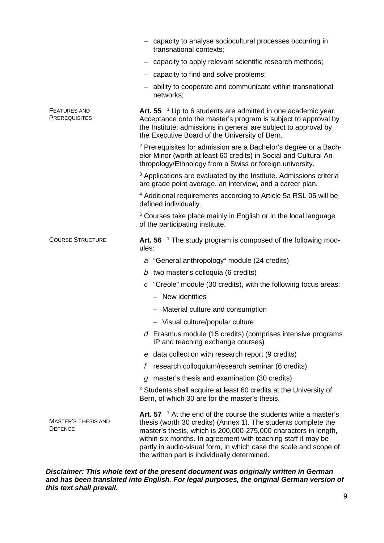|                                              | capacity to analyse sociocultural processes occurring in<br>transnational contexts;                                                                                                                                                                                                                                                                                                               |
|----------------------------------------------|---------------------------------------------------------------------------------------------------------------------------------------------------------------------------------------------------------------------------------------------------------------------------------------------------------------------------------------------------------------------------------------------------|
|                                              | capacity to apply relevant scientific research methods;                                                                                                                                                                                                                                                                                                                                           |
|                                              | - capacity to find and solve problems;                                                                                                                                                                                                                                                                                                                                                            |
|                                              | ability to cooperate and communicate within transnational<br>networks;                                                                                                                                                                                                                                                                                                                            |
| <b>FEATURES AND</b><br><b>PREREQUISITES</b>  | Art. 55 $^{-1}$ Up to 6 students are admitted in one academic year.<br>Acceptance onto the master's program is subject to approval by<br>the Institute; admissions in general are subject to approval by<br>the Executive Board of the University of Bern.                                                                                                                                        |
|                                              | <sup>2</sup> Prerequisites for admission are a Bachelor's degree or a Bach-<br>elor Minor (worth at least 60 credits) in Social and Cultural An-<br>thropology/Ethnology from a Swiss or foreign university.                                                                                                                                                                                      |
|                                              | <sup>3</sup> Applications are evaluated by the Institute. Admissions criteria<br>are grade point average, an interview, and a career plan.                                                                                                                                                                                                                                                        |
|                                              | <sup>4</sup> Additional requirements according to Article 5a RSL 05 will be<br>defined individually.                                                                                                                                                                                                                                                                                              |
|                                              | <sup>5</sup> Courses take place mainly in English or in the local language<br>of the participating institute.                                                                                                                                                                                                                                                                                     |
| <b>COURSE STRUCTURE</b>                      | Art. 56 $\mathrm{^{\circ}}$ The study program is composed of the following mod-<br>ules:                                                                                                                                                                                                                                                                                                          |
|                                              | a "General anthropology" module (24 credits)                                                                                                                                                                                                                                                                                                                                                      |
|                                              | b two master's colloquia (6 credits)                                                                                                                                                                                                                                                                                                                                                              |
|                                              | c "Creole" module (30 credits), with the following focus areas:                                                                                                                                                                                                                                                                                                                                   |
|                                              | - New identities                                                                                                                                                                                                                                                                                                                                                                                  |
|                                              | - Material culture and consumption                                                                                                                                                                                                                                                                                                                                                                |
|                                              | - Visual culture/popular culture                                                                                                                                                                                                                                                                                                                                                                  |
|                                              | d Erasmus module (15 credits) (comprises intensive programs<br>IP and teaching exchange courses)                                                                                                                                                                                                                                                                                                  |
|                                              | e data collection with research report (9 credits)                                                                                                                                                                                                                                                                                                                                                |
|                                              | research colloquium/research seminar (6 credits)<br>f                                                                                                                                                                                                                                                                                                                                             |
|                                              | master's thesis and examination (30 credits)<br>a                                                                                                                                                                                                                                                                                                                                                 |
|                                              | <sup>2</sup> Students shall acquire at least 60 credits at the University of<br>Bern, of which 30 are for the master's thesis.                                                                                                                                                                                                                                                                    |
| <b>MASTER'S THESIS AND</b><br><b>DEFENCE</b> | Art. 57 $^{-1}$ At the end of the course the students write a master's<br>thesis (worth 30 credits) (Annex 1). The students complete the<br>master's thesis, which is 200,000-275,000 characters in length,<br>within six months. In agreement with teaching staff it may be<br>partly in audio-visual form, in which case the scale and scope of<br>the written part is individually determined. |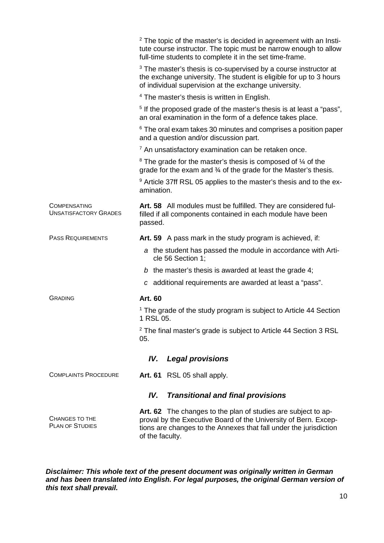|                                                     | $2$ The topic of the master's is decided in agreement with an Insti-<br>tute course instructor. The topic must be narrow enough to allow<br>full-time students to complete it in the set time-frame.                     |  |
|-----------------------------------------------------|--------------------------------------------------------------------------------------------------------------------------------------------------------------------------------------------------------------------------|--|
|                                                     | <sup>3</sup> The master's thesis is co-supervised by a course instructor at<br>the exchange university. The student is eligible for up to 3 hours<br>of individual supervision at the exchange university.               |  |
|                                                     | <sup>4</sup> The master's thesis is written in English.                                                                                                                                                                  |  |
|                                                     | <sup>5</sup> If the proposed grade of the master's thesis is at least a "pass",<br>an oral examination in the form of a defence takes place.                                                                             |  |
|                                                     | <sup>6</sup> The oral exam takes 30 minutes and comprises a position paper<br>and a question and/or discussion part.                                                                                                     |  |
|                                                     | $7$ An unsatisfactory examination can be retaken once.                                                                                                                                                                   |  |
|                                                     | <sup>8</sup> The grade for the master's thesis is composed of $\frac{1}{4}$ of the<br>grade for the exam and $\frac{3}{4}$ of the grade for the Master's thesis.                                                         |  |
|                                                     | <sup>9</sup> Article 37ff RSL 05 applies to the master's thesis and to the ex-<br>amination.                                                                                                                             |  |
| <b>COMPENSATING</b><br><b>UNSATISFACTORY GRADES</b> | Art. 58 All modules must be fulfilled. They are considered ful-<br>filled if all components contained in each module have been<br>passed.                                                                                |  |
| <b>PASS REQUIREMENTS</b>                            | Art. 59 A pass mark in the study program is achieved, if:                                                                                                                                                                |  |
|                                                     | a the student has passed the module in accordance with Arti-<br>cle 56 Section 1;                                                                                                                                        |  |
|                                                     | b the master's thesis is awarded at least the grade 4;                                                                                                                                                                   |  |
|                                                     | c additional requirements are awarded at least a "pass".                                                                                                                                                                 |  |
| <b>GRADING</b>                                      | <b>Art. 60</b>                                                                                                                                                                                                           |  |
|                                                     | <sup>1</sup> The grade of the study program is subject to Article 44 Section<br>1 RSL 05.                                                                                                                                |  |
|                                                     | <sup>2</sup> The final master's grade is subject to Article 44 Section 3 RSL<br>05.                                                                                                                                      |  |
| <b>Legal provisions</b><br>IV.                      |                                                                                                                                                                                                                          |  |
| <b>COMPLAINTS PROCEDURE</b>                         | Art. 61 RSL 05 shall apply.                                                                                                                                                                                              |  |
| IV.<br><b>Transitional and final provisions</b>     |                                                                                                                                                                                                                          |  |
| <b>CHANGES TO THE</b><br><b>PLAN OF STUDIES</b>     | Art. 62 The changes to the plan of studies are subject to ap-<br>proval by the Executive Board of the University of Bern. Excep-<br>tions are changes to the Annexes that fall under the jurisdiction<br>of the faculty. |  |